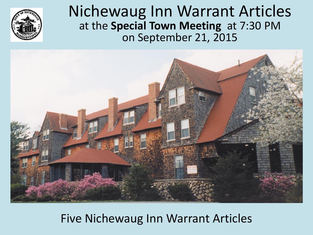#### Nichewaug Inn Warrant Articles at the **Special Town Meeting** at 7:30 PM on September 21, 2015



#### Five Nichewaug Inn Warrant Articles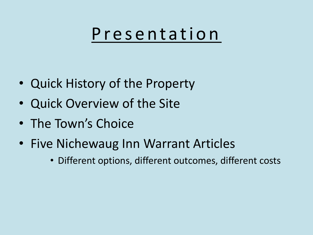### Presentation

- Quick History of the Property
- Quick Overview of the Site
- The Town's Choice
- Five Nichewaug Inn Warrant Articles
	- Different options, different outcomes, different costs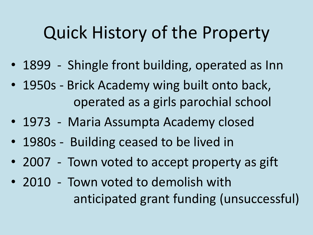### Quick History of the Property

- 1899 Shingle front building, operated as Inn
- 1950s Brick Academy wing built onto back, operated as a girls parochial school
- 1973 Maria Assumpta Academy closed
- 1980s Building ceased to be lived in
- 2007 Town voted to accept property as gift
- 2010 Town voted to demolish with anticipated grant funding (unsuccessful)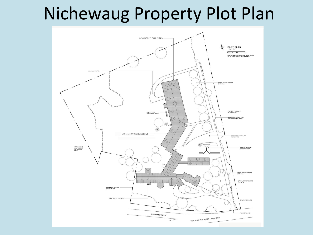### Nichewaug Property Plot Plan

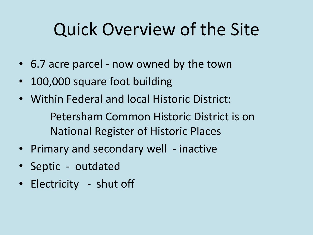## Quick Overview of the Site

- 6.7 acre parcel now owned by the town
- 100,000 square foot building
- Within Federal and local Historic District:

Petersham Common Historic District is on National Register of Historic Places

- Primary and secondary well inactive
- Septic outdated
- Electricity shut off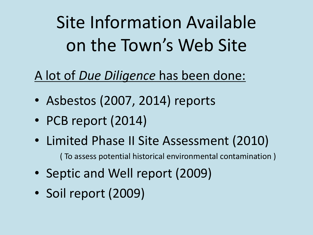Site Information Available on the Town's Web Site

#### A lot of *Due Diligence* has been done:

- Asbestos (2007, 2014) reports
- PCB report (2014)
- Limited Phase II Site Assessment (2010)

( To assess potential historical environmental contamination )

- Septic and Well report (2009)
- Soil report (2009)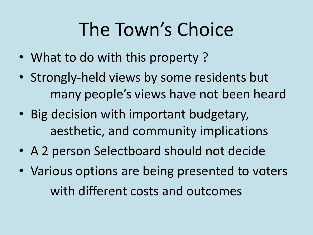# The Town's Choice

- What to do with this property ?
- Strongly-held views by some residents but many people's views have not been heard
- Big decision with important budgetary, aesthetic, and community implications
- A 2 person Selectboard should not decide
- Various options are being presented to voters with different costs and outcomes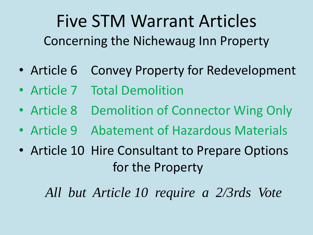### Five STM Warrant Articles Concerning the Nichewaug Inn Property

- Article 6 Convey Property for Redevelopment
- Article 7 Total Demolition
- Article 8 Demolition of Connector Wing Only
- Article 9 Abatement of Hazardous Materials
- Article 10 Hire Consultant to Prepare Options for the Property

*All but Article 10 require a 2/3rds Vote*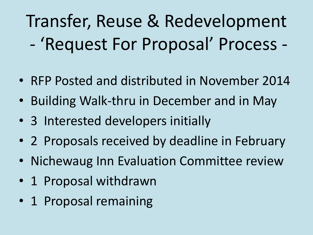Transfer, Reuse & Redevelopment - 'Request For Proposal' Process -

- RFP Posted and distributed in November 2014
- Building Walk-thru in December and in May
- 3 Interested developers initially
- 2 Proposals received by deadline in February
- Nichewaug Inn Evaluation Committee review
- 1 Proposal withdrawn
- 1 Proposal remaining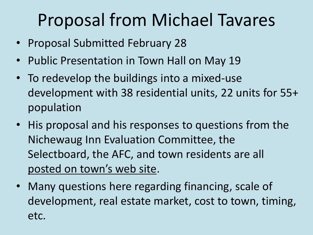### Proposal from Michael Tavares

- Proposal Submitted February 28
- Public Presentation in Town Hall on May 19
- To redevelop the buildings into a mixed-use development with 38 residential units, 22 units for 55+ population
- His proposal and his responses to questions from the Nichewaug Inn Evaluation Committee, the Selectboard, the AFC, and town residents are all posted on town's web site.
- Many questions here regarding financing, scale of development, real estate market, cost to town, timing, etc.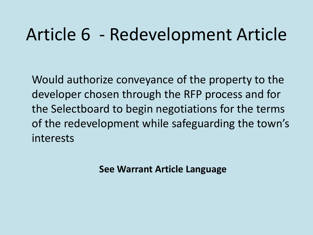### Article 6 - Redevelopment Article

Would authorize conveyance of the property to the developer chosen through the RFP process and for the Selectboard to begin negotiations for the terms of the redevelopment while safeguarding the town's interests

**See Warrant Article Language**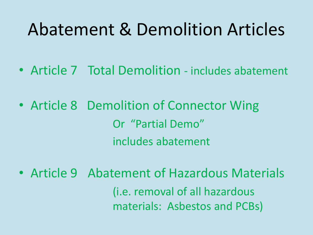### Abatement & Demolition Articles

- Article 7 Total Demolition includes abatement
- Article 8 Demolition of Connector Wing Or "Partial Demo" includes abatement
- Article 9 Abatement of Hazardous Materials (i.e. removal of all hazardous materials: Asbestos and PCBs)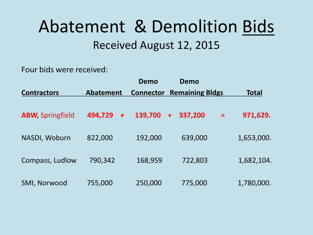### Abatement & Demolition Bids Received August 12, 2015

Four bids were received:

|                         |                  | <b>Demo</b>      | Demo                            |          |              |
|-------------------------|------------------|------------------|---------------------------------|----------|--------------|
| <b>Contractors</b>      | <b>Abatement</b> | <b>Connector</b> | <b>Remaining Bldgs</b>          |          | <b>Total</b> |
| <b>ABW, Springfield</b> | 494,729<br>$+$   | 139,700          | 337,200<br>$\ddot{\phantom{1}}$ | $\equiv$ | 971,629.     |
| NASDI, Woburn           | 822,000          | 192,000          | 639,000                         |          | 1,653,000.   |
| Compass, Ludlow         | 790,342          | 168,959          | 722,803                         |          | 1,682,104.   |
| SMI, Norwood            | 755,000          | 250,000          | 775,000                         |          | 1,780,000.   |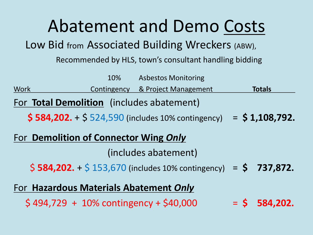### Abatement and Demo Costs

Low Bid from Associated Building Wreckers (ABW),

Recommended by HLS, town's consultant handling bidding

10% Asbestos Monitoring Work Contingency & Project Management Totals For **Total Demolition** (includes abatement) **\$ 584,202.** + \$ 524,590 (includes 10% contingency) = **\$ 1,108,792.** For **Demolition of Connector Wing** *Only* (includes abatement) \$ **584,202.** + \$ 153,670 (includes 10% contingency) = **\$ 737,872.** For **Hazardous Materials Abatement** *Only*  $$494,729 + 10\%$  contingency +  $$40,000 = $584,202$ .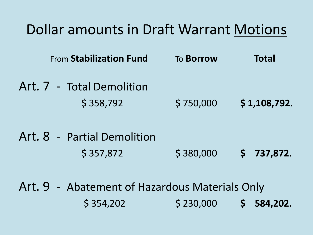#### Dollar amounts in Draft Warrant Motions

| <b>From Stabilization Fund</b> | To <b>Borrow</b> | <b>Total</b> |  |
|--------------------------------|------------------|--------------|--|
| Art. 7 - Total Demolition      |                  |              |  |
| \$358,792                      | \$750,000        | \$1,108,792. |  |

### Art. 8 - Partial Demolition \$ 357,872 \$ 380,000 **\$ 737,872.**

Art. 9 - Abatement of Hazardous Materials Only \$ 354,202 \$ 230,000 **\$ 584,202.**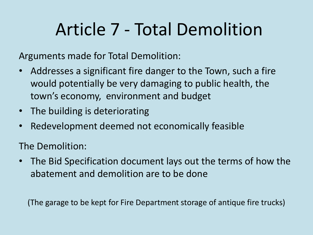### Article 7 - Total Demolition

Arguments made for Total Demolition:

- Addresses a significant fire danger to the Town, such a fire would potentially be very damaging to public health, the town's economy, environment and budget
- The building is deteriorating
- Redevelopment deemed not economically feasible

The Demolition:

• The Bid Specification document lays out the terms of how the abatement and demolition are to be done

(The garage to be kept for Fire Department storage of antique fire trucks)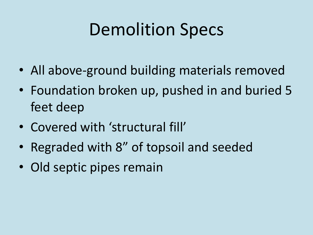## Demolition Specs

- All above-ground building materials removed
- Foundation broken up, pushed in and buried 5 feet deep
- Covered with 'structural fill'
- Regraded with 8" of topsoil and seeded
- Old septic pipes remain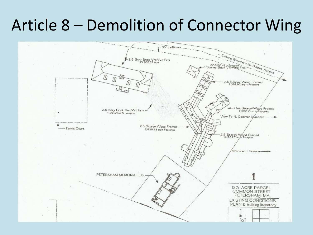### Article 8 – Demolition of Connector Wing

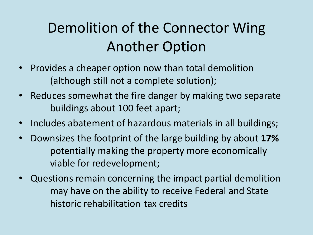### Demolition of the Connector Wing Another Option

- Provides a cheaper option now than total demolition (although still not a complete solution);
- Reduces somewhat the fire danger by making two separate buildings about 100 feet apart;
- Includes abatement of hazardous materials in all buildings;
- Downsizes the footprint of the large building by about **17%** potentially making the property more economically viable for redevelopment;
- Questions remain concerning the impact partial demolition may have on the ability to receive Federal and State historic rehabilitation tax credits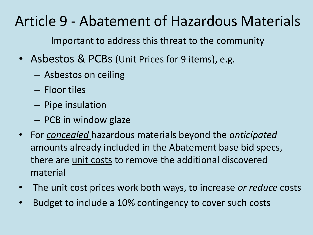### Article 9 - Abatement of Hazardous Materials

Important to address this threat to the community

- Asbestos & PCBs (Unit Prices for 9 items), e.g.
	- Asbestos on ceiling
	- Floor tiles
	- Pipe insulation
	- PCB in window glaze
- For *concealed* hazardous materials beyond the *anticipated* amounts already included in the Abatement base bid specs, there are unit costs to remove the additional discovered material
- The unit cost prices work both ways, to increase *or reduce* costs
- Budget to include a 10% contingency to cover such costs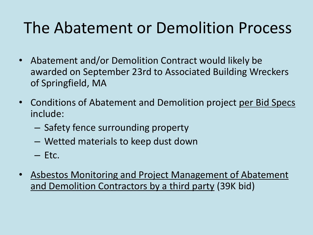### The Abatement or Demolition Process

- Abatement and/or Demolition Contract would likely be awarded on September 23rd to Associated Building Wreckers of Springfield, MA
- Conditions of Abatement and Demolition project per Bid Specs include:
	- Safety fence surrounding property
	- Wetted materials to keep dust down
	- Etc.
- Asbestos Monitoring and Project Management of Abatement and Demolition Contractors by a third party (39K bid)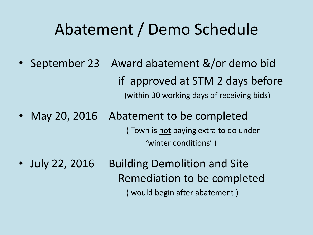### Abatement / Demo Schedule

- September 23 Award abatement &/or demo bid if approved at STM 2 days before (within 30 working days of receiving bids)
- May 20, 2016 Abatement to be completed (Town is <u>not</u> paying extra to do under 'winter conditions' )
- July 22, 2016 Building Demolition and Site Remediation to be completed ( would begin after abatement )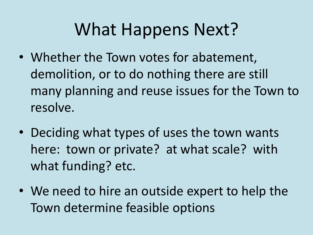### What Happens Next?

- Whether the Town votes for abatement, demolition, or to do nothing there are still many planning and reuse issues for the Town to resolve.
- Deciding what types of uses the town wants here: town or private? at what scale? with what funding? etc.
- We need to hire an outside expert to help the Town determine feasible options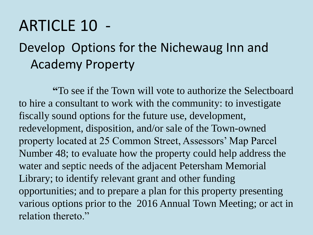### ARTICLE 10 -

### Develop Options for the Nichewaug Inn and Academy Property

**"**To see if the Town will vote to authorize the Selectboard to hire a consultant to work with the community: to investigate fiscally sound options for the future use, development, redevelopment, disposition, and/or sale of the Town-owned property located at 25 Common Street, Assessors' Map Parcel Number 48; to evaluate how the property could help address the water and septic needs of the adjacent Petersham Memorial Library; to identify relevant grant and other funding opportunities; and to prepare a plan for this property presenting various options prior to the 2016 Annual Town Meeting; or act in relation thereto."